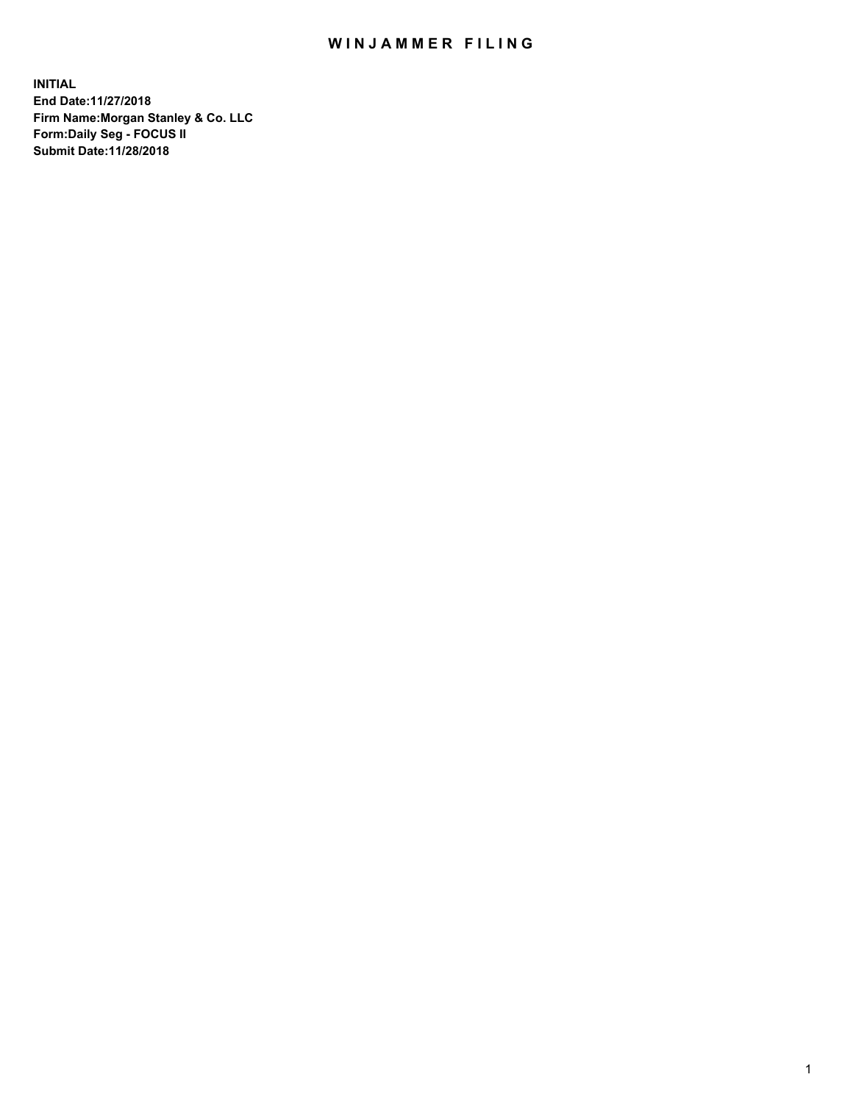## WIN JAMMER FILING

**INITIAL End Date:11/27/2018 Firm Name:Morgan Stanley & Co. LLC Form:Daily Seg - FOCUS II Submit Date:11/28/2018**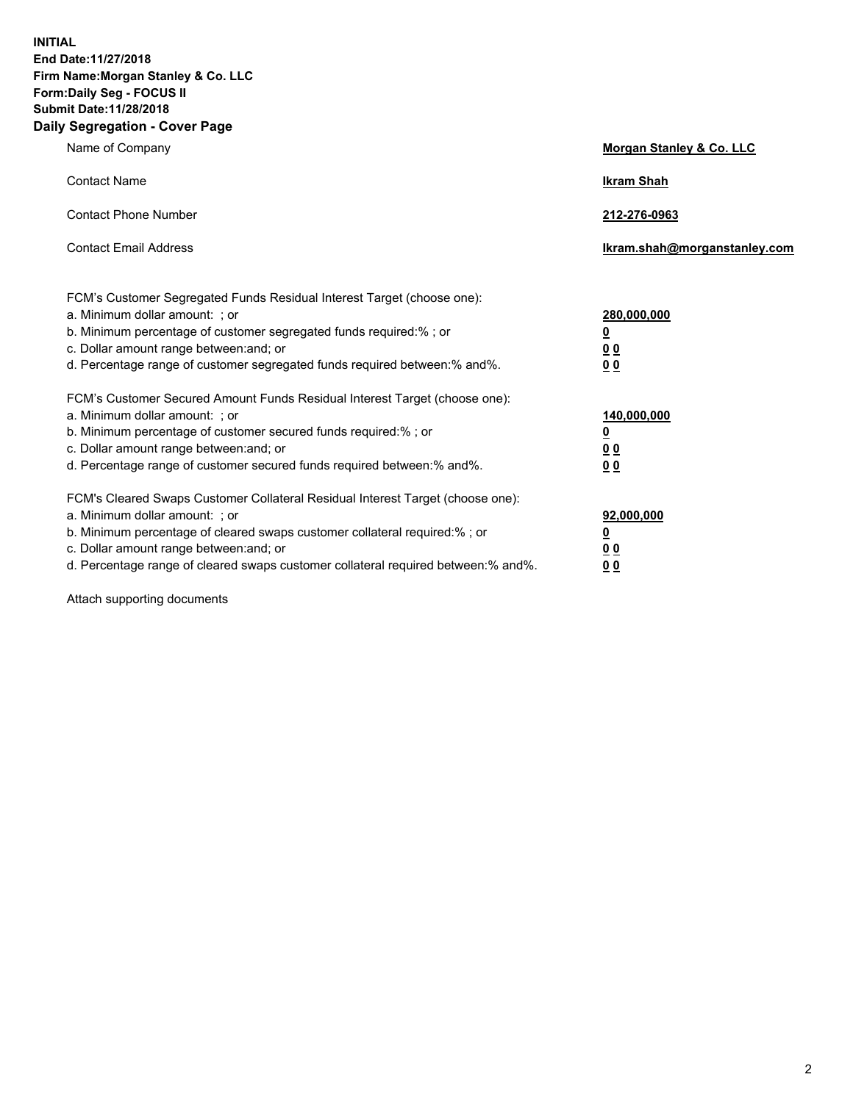**INITIAL End Date:11/27/2018 Firm Name:Morgan Stanley & Co. LLC Form:Daily Seg - FOCUS II Submit Date:11/28/2018 Daily Segregation - Cover Page**

| Name of Company                                                                   | Morgan Stanley & Co. LLC     |
|-----------------------------------------------------------------------------------|------------------------------|
| <b>Contact Name</b>                                                               | <b>Ikram Shah</b>            |
| <b>Contact Phone Number</b>                                                       | 212-276-0963                 |
| <b>Contact Email Address</b>                                                      | Ikram.shah@morganstanley.com |
| FCM's Customer Segregated Funds Residual Interest Target (choose one):            |                              |
| a. Minimum dollar amount: ; or                                                    | 280,000,000                  |
| b. Minimum percentage of customer segregated funds required:% ; or                | <u>0</u>                     |
| c. Dollar amount range between: and; or                                           | <u>00</u>                    |
| d. Percentage range of customer segregated funds required between:% and%.         | 0 <sub>0</sub>               |
| FCM's Customer Secured Amount Funds Residual Interest Target (choose one):        |                              |
| a. Minimum dollar amount: ; or                                                    | 140,000,000                  |
| b. Minimum percentage of customer secured funds required:%; or                    | <u>0</u>                     |
| c. Dollar amount range between: and; or                                           | <u>00</u>                    |
| d. Percentage range of customer secured funds required between:% and%.            | 00                           |
| FCM's Cleared Swaps Customer Collateral Residual Interest Target (choose one):    |                              |
| a. Minimum dollar amount: ; or                                                    | 92,000,000                   |
| b. Minimum percentage of cleared swaps customer collateral required:% ; or        | <u>0</u>                     |
| c. Dollar amount range between: and; or                                           | 0 Q                          |
| d. Percentage range of cleared swaps customer collateral required between:% and%. | 00                           |

Attach supporting documents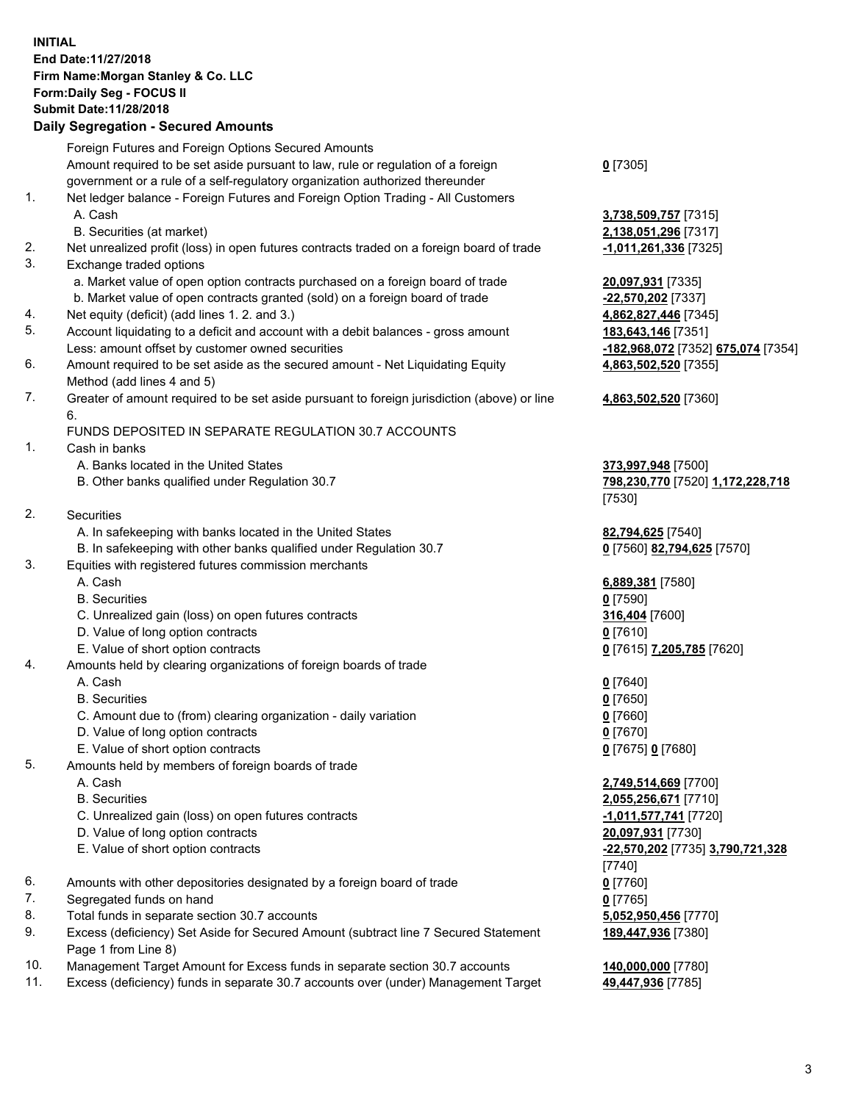## **INITIAL End Date:11/27/2018 Firm Name:Morgan Stanley & Co. LLC Form:Daily Seg - FOCUS II Submit Date:11/28/2018**

## **Daily Segregation - Secured Amounts**

|                | Foreign Futures and Foreign Options Secured Amounts                                         |                                                       |
|----------------|---------------------------------------------------------------------------------------------|-------------------------------------------------------|
|                | Amount required to be set aside pursuant to law, rule or regulation of a foreign            | $0$ [7305]                                            |
|                | government or a rule of a self-regulatory organization authorized thereunder                |                                                       |
| 1.             | Net ledger balance - Foreign Futures and Foreign Option Trading - All Customers             |                                                       |
|                | A. Cash                                                                                     | 3,738,509,757 [731                                    |
|                | B. Securities (at market)                                                                   | 2,138,051,296 [731                                    |
| 2.             | Net unrealized profit (loss) in open futures contracts traded on a foreign board of trade   | -1,011,261,336 <sub>[73</sub>                         |
| 3.             | Exchange traded options                                                                     |                                                       |
|                | a. Market value of open option contracts purchased on a foreign board of trade              | 20,097,931 [7335]                                     |
|                | b. Market value of open contracts granted (sold) on a foreign board of trade                | -22,570,202 [7337]                                    |
| 4.             | Net equity (deficit) (add lines 1.2. and 3.)                                                | 4,862,827,446 [734                                    |
| 5.             | Account liquidating to a deficit and account with a debit balances - gross amount           | 183,643,146 [7351]                                    |
|                | Less: amount offset by customer owned securities                                            | -182,968,072 [7352                                    |
| 6.             | Amount required to be set aside as the secured amount - Net Liquidating Equity              | 4,863,502,520 [735                                    |
|                | Method (add lines 4 and 5)                                                                  |                                                       |
| 7.             | Greater of amount required to be set aside pursuant to foreign jurisdiction (above) or line | 4,863,502,520 [736                                    |
|                | 6.                                                                                          |                                                       |
|                | FUNDS DEPOSITED IN SEPARATE REGULATION 30.7 ACCOUNTS                                        |                                                       |
| 1.             | Cash in banks                                                                               |                                                       |
|                | A. Banks located in the United States                                                       | 373,997,948 [7500]                                    |
|                | B. Other banks qualified under Regulation 30.7                                              | 798,230,770 [7520]                                    |
|                |                                                                                             | [7530]                                                |
| 2.             | Securities                                                                                  |                                                       |
|                | A. In safekeeping with banks located in the United States                                   | 82,794,625 [7540]                                     |
|                | B. In safekeeping with other banks qualified under Regulation 30.7                          | <u>0</u> [7560] 82,794,62                             |
| 3.             | Equities with registered futures commission merchants                                       |                                                       |
|                | A. Cash                                                                                     | 6,889,381 [7580]                                      |
|                | <b>B.</b> Securities                                                                        | $0$ [7590]                                            |
|                | C. Unrealized gain (loss) on open futures contracts                                         | 316,404 [7600]                                        |
|                | D. Value of long option contracts                                                           | $0$ [7610]                                            |
|                | E. Value of short option contracts                                                          | 0 [7615] 7,205,785                                    |
| 4.             | Amounts held by clearing organizations of foreign boards of trade<br>A. Cash                |                                                       |
|                | <b>B.</b> Securities                                                                        | $0$ [7640]                                            |
|                |                                                                                             | $0$ [7650]                                            |
|                | C. Amount due to (from) clearing organization - daily variation                             | $0$ [7660]                                            |
|                | D. Value of long option contracts                                                           | $0$ [7670]                                            |
| 5.             | E. Value of short option contracts                                                          | 0 [7675] 0 [7680]                                     |
|                | Amounts held by members of foreign boards of trade<br>A. Cash                               |                                                       |
|                | <b>B.</b> Securities                                                                        | 2,749,514,669 [770                                    |
|                | C. Unrealized gain (loss) on open futures contracts                                         | 2,055,256,671 [771<br><mark>-1,011,577,741</mark> [77 |
|                | D. Value of long option contracts                                                           | 20,097,931 [7730]                                     |
|                | E. Value of short option contracts                                                          | -22,570,202 [7735]                                    |
|                |                                                                                             | [7740]                                                |
| 6.             | Amounts with other depositories designated by a foreign board of trade                      | $0$ [7760]                                            |
| 7.             | Segregated funds on hand                                                                    | $0$ [7765]                                            |
| 8.             | Total funds in separate section 30.7 accounts                                               | 5,052,950,456 [777                                    |
| 9.             | Excess (deficiency) Set Aside for Secured Amount (subtract line 7 Secured Statement         | 189,447,936 [7380]                                    |
|                | Page 1 from Line 8)                                                                         |                                                       |
| $\overline{A}$ |                                                                                             |                                                       |

- 10. Management Target Amount for Excess funds in separate section 30.7 accounts **140,000,000** [7780]
- 11. Excess (deficiency) funds in separate 30.7 accounts over (under) Management Target **49,447,936** [7785]

**09,757** [7315] **51,296** [7317] 2. 61,336 [7325]

27,446 [7345] Less: amount offset by customer owned securities **-182,968,072** [7352] **675,074** [7354] **02,520** [7355]

## **02,520** [7360]

B. Other banks qualified under Regulation 30.7 **798,230,770** [7520] **1,172,228,718**

 $B2, 794, 625$  [7570]

E. Value of short option contracts **0** [7615] **7,205,785** [7620]

 A. Cash **2,749,514,669** [7700] **56,671** [7710] C. Unrealized gain (loss) on open futures contracts **-1,011,577,741** [7720] E. Value of short option contracts **-22,570,202** [7735] **3,790,721,328 80,456** [7770] **189,447,936** [7380]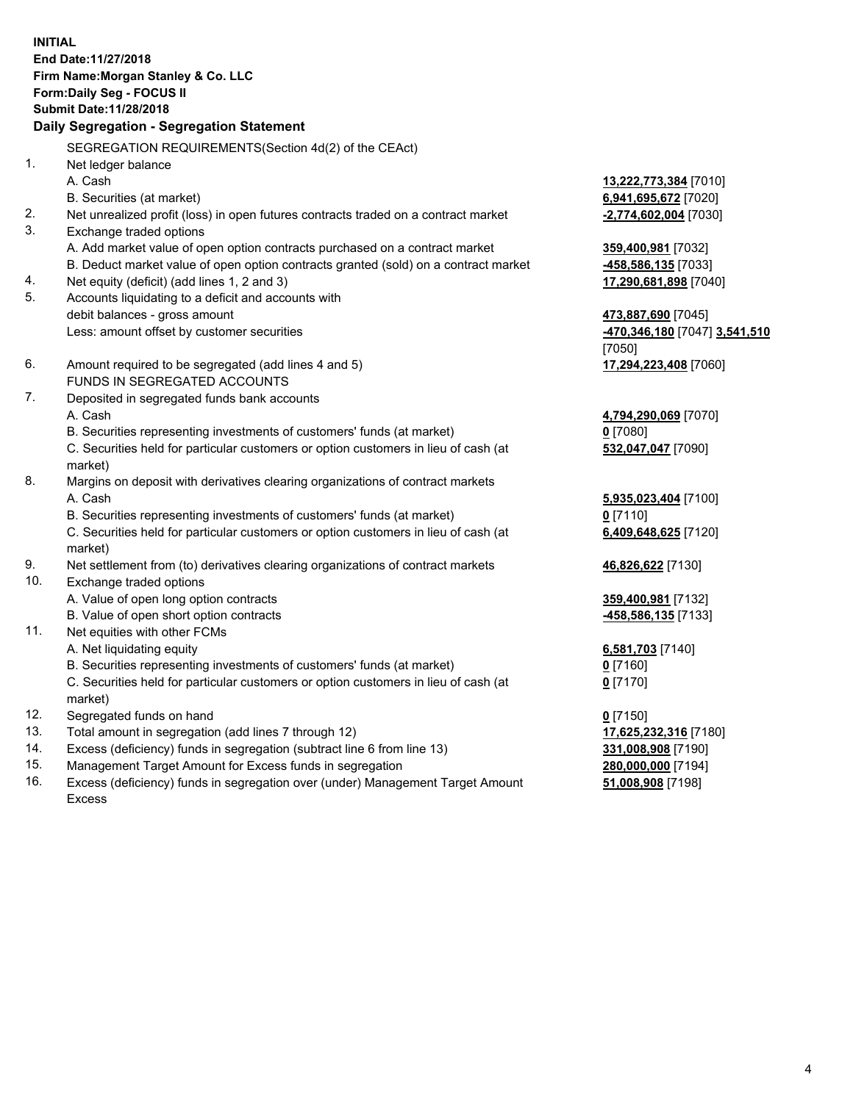**INITIAL End Date:11/27/2018 Firm Name:Morgan Stanley & Co. LLC Form:Daily Seg - FOCUS II Submit Date:11/28/2018 Daily Segregation - Segregation Statement** SEGREGATION REQUIREMENTS(Section 4d(2) of the CEAct) 1. Net ledger balance A. Cash **13,222,773,384** [7010] B. Securities (at market) **6,941,695,672** [7020] 2. Net unrealized profit (loss) in open futures contracts traded on a contract market **-2,774,602,004** [7030] 3. Exchange traded options A. Add market value of open option contracts purchased on a contract market **359,400,981** [7032] B. Deduct market value of open option contracts granted (sold) on a contract market **-458,586,135** [7033] 4. Net equity (deficit) (add lines 1, 2 and 3) **17,290,681,898** [7040] 5. Accounts liquidating to a deficit and accounts with debit balances - gross amount **473,887,690** [7045] Less: amount offset by customer securities **-470,346,180** [7047] **3,541,510** [7050] 6. Amount required to be segregated (add lines 4 and 5) **17,294,223,408** [7060] FUNDS IN SEGREGATED ACCOUNTS 7. Deposited in segregated funds bank accounts A. Cash **4,794,290,069** [7070] B. Securities representing investments of customers' funds (at market) **0** [7080] C. Securities held for particular customers or option customers in lieu of cash (at market) **532,047,047** [7090] 8. Margins on deposit with derivatives clearing organizations of contract markets A. Cash **5,935,023,404** [7100] B. Securities representing investments of customers' funds (at market) **0** [7110] C. Securities held for particular customers or option customers in lieu of cash (at market) **6,409,648,625** [7120] 9. Net settlement from (to) derivatives clearing organizations of contract markets **46,826,622** [7130] 10. Exchange traded options A. Value of open long option contracts **359,400,981** [7132] B. Value of open short option contracts **-458,586,135** [7133] 11. Net equities with other FCMs A. Net liquidating equity **6,581,703** [7140] B. Securities representing investments of customers' funds (at market) **0** [7160] C. Securities held for particular customers or option customers in lieu of cash (at market) **0** [7170] 12. Segregated funds on hand **0** [7150] 13. Total amount in segregation (add lines 7 through 12) **17,625,232,316** [7180] 14. Excess (deficiency) funds in segregation (subtract line 6 from line 13) **331,008,908** [7190]

- 15. Management Target Amount for Excess funds in segregation **280,000,000** [7194]
- 16. Excess (deficiency) funds in segregation over (under) Management Target Amount Excess

**51,008,908** [7198]